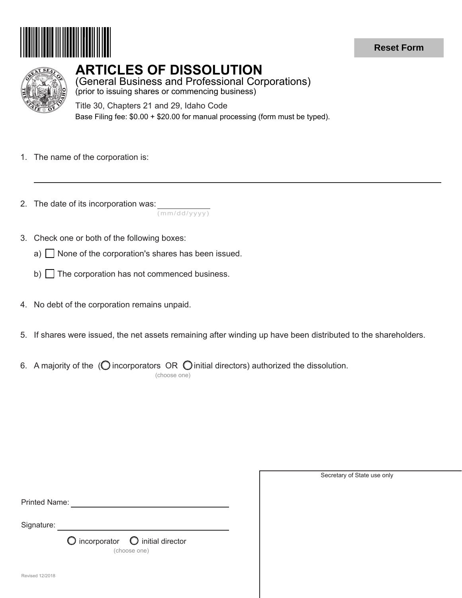

## **Reset Form**



## **ARTICLES OF DISSOLUTION**

(General Business and Professional Corporations) (prior to issuing shares or commencing business)

Title 30, Chapters 21 and 29, Idaho Code Base Filing fee: \$0.00 + \$20.00 for manual processing (form must be typed).

- 1. The name of the corporation is:
- 2. The date of its incorporation was:

(mm/dd/yyyy)

- 3. Check one or both of the following boxes:
	- a)  $\Box$  None of the corporation's shares has been issued.
	- b)  $\Box$  The corporation has not commenced business.
- 4. No debt of the corporation remains unpaid.
- 5. If shares were issued, the net assets remaining after winding up have been distributed to the shareholders.
- 6. A majority of the ( $\bigcirc$  incorporators OR  $\bigcirc$  initial directors) authorized the dissolution. (choose one)

| <b>Printed Name:</b> |                                                                     |
|----------------------|---------------------------------------------------------------------|
| Signature:           |                                                                     |
|                      | $\bigcirc$ incorporator $\bigcirc$ initial director<br>(choose one) |
| Revised 12/2018      |                                                                     |

Secretary of State use only